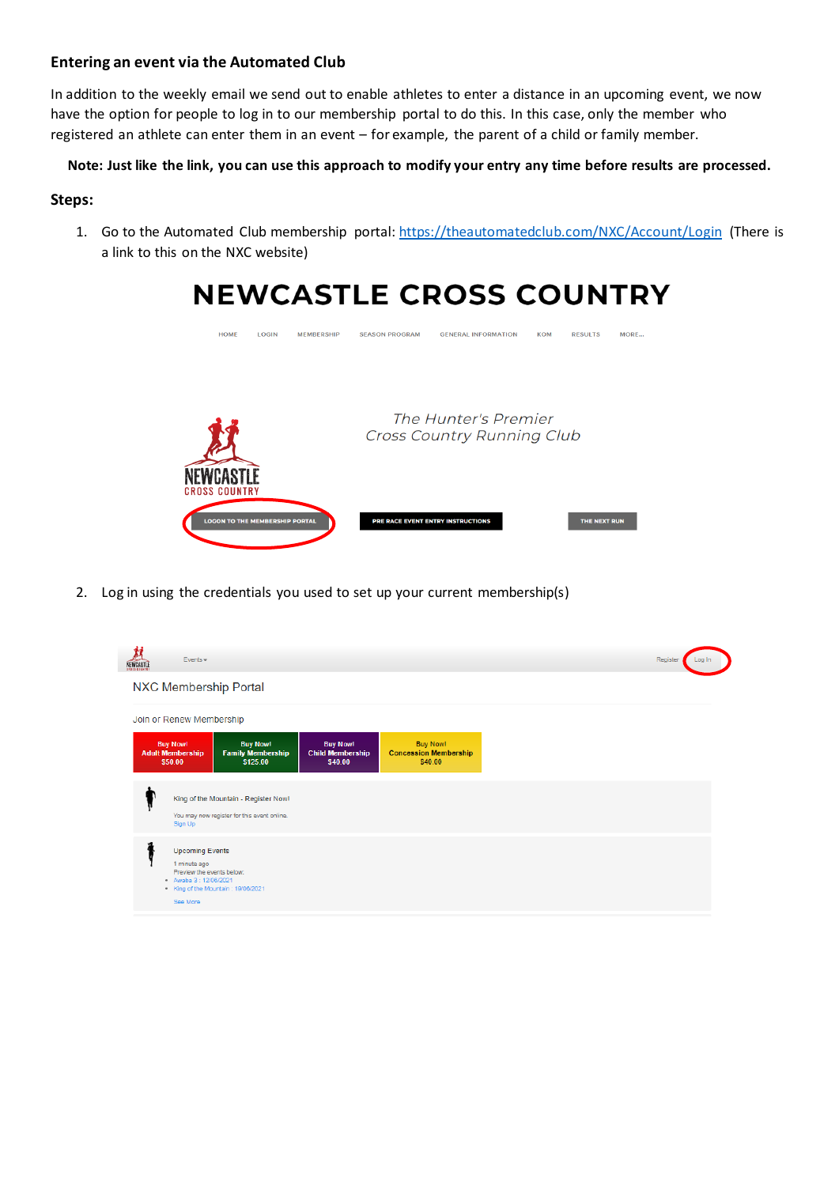## **Entering an event via the Automated Club**

In addition to the weekly email we send out to enable athletes to enter a distance in an upcoming event, we now have the option for people to log in to our membership portal to do this. In this case, only the member who registered an athlete can enter them in an event – for example, the parent of a child or family member.

## **Note: Just like the link, you can use this approach to modify your entry any time before results are processed.**

# **Steps:**

1. Go to the Automated Club membership portal: [https://theautomatedclub.com/NXC/Account/Login \(](https://theautomatedclub.com/NXC/Account/Login)There is a link to this on the NXC website)



2. Log in using the credentials you used to set up your current membership(s)

| NEWCASTLE | $Events -$                                                                                             |                                                                                     |                                                       |                                                            |
|-----------|--------------------------------------------------------------------------------------------------------|-------------------------------------------------------------------------------------|-------------------------------------------------------|------------------------------------------------------------|
|           |                                                                                                        | <b>NXC Membership Portal</b>                                                        |                                                       |                                                            |
|           | Join or Renew Membership                                                                               |                                                                                     |                                                       |                                                            |
|           | <b>Buy Now!</b><br><b>Adult Membership</b><br>\$50.00                                                  | <b>Buy Now!</b><br><b>Family Membership</b><br>\$125.00                             | <b>Buy Now!</b><br><b>Child Membership</b><br>\$40.00 | <b>Buy Now!</b><br><b>Concession Membership</b><br>\$40.00 |
|           | Sign Up                                                                                                | King of the Mountain - Register Now!<br>You may now register for this event online. |                                                       |                                                            |
|           | <b>Upcoming Events</b><br>1 minute ago<br>Preview the events below:<br>Awaba 3: 12/06/2021<br>See More | King of the Mountain: 19/06/2021                                                    |                                                       |                                                            |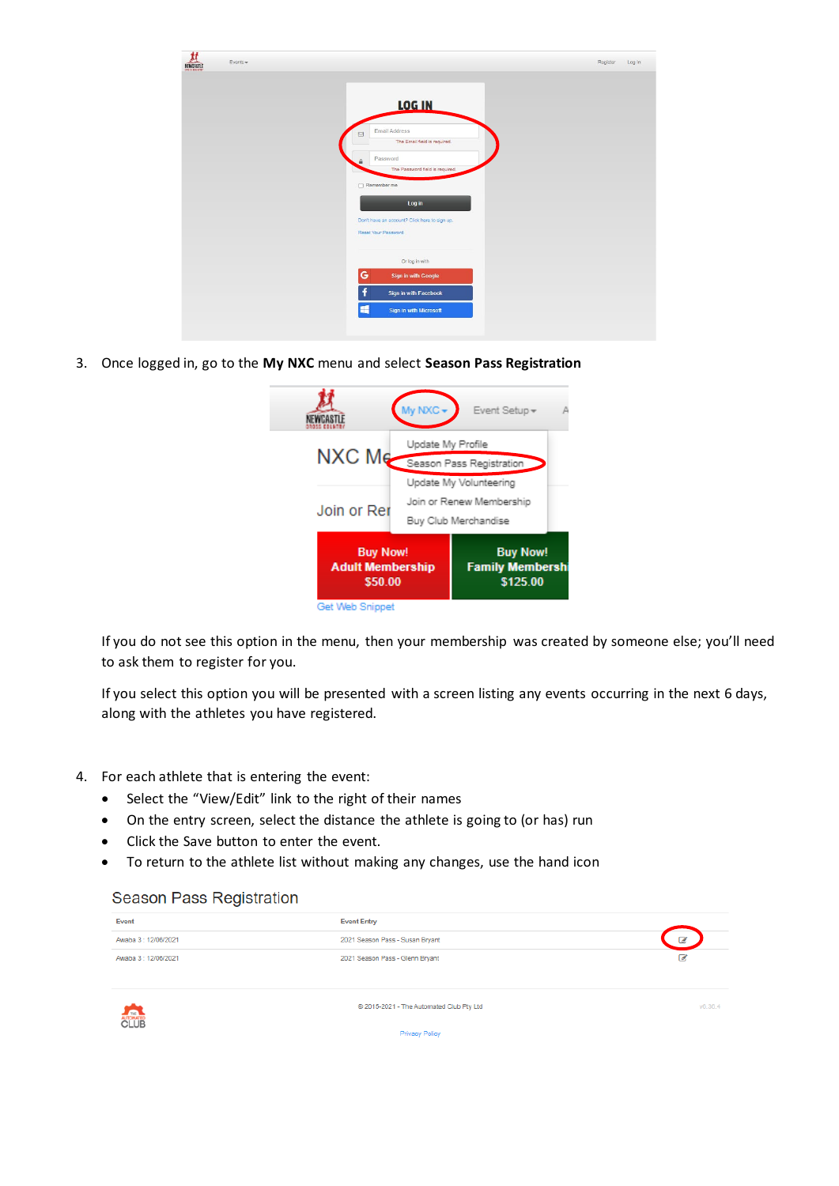| <b>LOG IN</b><br>Email Address<br>$\boxtimes$<br>The Email field is required.<br>Password<br>$\ddot{a}$<br>The Password field is required.<br>$\Box$ Remember me<br>Log in<br>Don't have an account? Click here to sign up.<br>Reset Your Password<br>Or log in with | Register<br>Log in |
|----------------------------------------------------------------------------------------------------------------------------------------------------------------------------------------------------------------------------------------------------------------------|--------------------|
|                                                                                                                                                                                                                                                                      |                    |
|                                                                                                                                                                                                                                                                      |                    |
|                                                                                                                                                                                                                                                                      |                    |
|                                                                                                                                                                                                                                                                      |                    |
|                                                                                                                                                                                                                                                                      |                    |
|                                                                                                                                                                                                                                                                      |                    |
| G<br><b>Sign in with Google</b><br>f<br>Sign in with Facebook                                                                                                                                                                                                        |                    |
| H<br>Sign in with Microsoft                                                                                                                                                                                                                                          |                    |

3. Once logged in, go to the **My NXC** menu and select **Season Pass Registration**

|                                                       | My NXC-                                               | Event Setup -          |  |
|-------------------------------------------------------|-------------------------------------------------------|------------------------|--|
|                                                       | Update My Profile                                     |                        |  |
|                                                       | NXC Me Season Pass Registration                       |                        |  |
|                                                       |                                                       | Update My Volunteering |  |
|                                                       | Join or Renew Membership                              |                        |  |
| Join or Rer                                           |                                                       | Buy Club Merchandise   |  |
| <b>Buy Now!</b><br><b>Adult Membership</b><br>\$50.00 | <b>Buy Now!</b><br><b>Family Membersh</b><br>\$125.00 |                        |  |
| Get Web Snippet                                       |                                                       |                        |  |

If you do not see this option in the menu, then your membership was created by someone else; you'll need to ask them to register for you.

If you select this option you will be presented with a screen listing any events occurring in the next 6 days, along with the athletes you have registered.

- 4. For each athlete that is entering the event:
	- Select the "View/Edit" link to the right of their names
	- On the entry screen, select the distance the athlete is going to (or has) run
	- Click the Save button to enter the event.
	- To return to the athlete list without making any changes, use the hand icon

### Season Pass Registration

| Event               | <b>Event Entry</b>              |                          |
|---------------------|---------------------------------|--------------------------|
| Awaba 3: 12/06/2021 | 2021 Season Pass - Susan Bryant | $\overline{\mathscr{L}}$ |
| Awaba 3: 12/06/2021 | 2021 Season Pass - Glenn Bryant |                          |



@ 2015-2021 - The Automated Club Pty Ltd

 $v6.36.4$ 

Privacy Policy